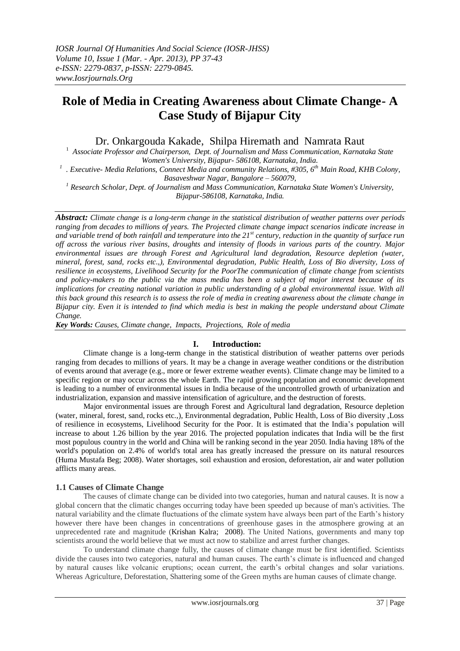# **Role of Media in Creating Awareness about Climate Change- A Case Study of Bijapur City**

Dr. Onkargouda Kakade, Shilpa Hiremath and Namrata Raut

<sup>1</sup> Associate Professor and Chairperson, Dept. of Journalism and Mass Communication, Karnataka State *Women's University, Bijapur- 586108, Karnataka, India.*

*1 . Executive- Media Relations, Connect Media and community Relations, #305, 6th Main Road, KHB Colony, Basaveshwar Nagar, Bangalore – 560079,*

*<sup>1</sup> Research Scholar, Dept. of Journalism and Mass Communication, Karnataka State Women's University, Bijapur-586108, Karnataka, India.*

*Abstract: Climate change is a long-term change in the statistical distribution of [weather](http://en.wikipedia.org/wiki/Weather) patterns over [periods](http://en.wikipedia.org/wiki/Time) ranging from decades to millions of years. The Projected climate change impact scenarios indicate increase in and variable trend of both rainfall and temperature into the 21st century, reduction in the quantity of surface run off across the various river basins, droughts and intensity of floods in various parts of the country. Major environmental issues are through Forest and Agricultural land degradation, Resource depletion (water, mineral, forest, sand, rocks etc.,), Environmental degradation, Public Health, Loss of Bio diversity, Loss of resilience in ecosystems, Livelihood Security for the PoorThe communication of climate change from scientists and policy-makers to the public via the mass media has been a subject of major interest because of its implications for creating national variation in public understanding of a global environmental issue. With all this back ground this research is to assess the role of media in creating awareness about the climate change in Bijapur city. Even it is intended to find which media is best in making the people understand about Climate Change.* 

*Key Words: Causes, Climate change, Impacts, Projections, Role of media* 

## **I. Introduction:**

Climate change is a long-term change in the statistical distribution of [weather](http://en.wikipedia.org/wiki/Weather) patterns over [periods](http://en.wikipedia.org/wiki/Time) ranging from decades to millions of years. It may be a change in average weather conditions or the distribution of events around that average (e.g., more or fewer extreme weather events). Climate change may be limited to a specific [region](http://en.wikipedia.org/wiki/Region) or may occur across the whole [Earth.](http://en.wikipedia.org/wiki/Earth) The rapid growing population and economic development is leading to a number of environmental issues in India because of the uncontrolled growth of urbanization and industrialization, expansion and massive intensification of agriculture, and the destruction of forests.

Major environmental issues are through Forest and Agricultural land degradation, Resource depletion (water, mineral, forest, sand, rocks etc.,), Environmental degradation, Public Health, Loss of Bio diversity ,Loss of resilience in ecosystems, Livelihood Security for the Poor. It is estimated that the India's population will increase to about 1.26 billion by the year 2016. The projected population indicates that India will be the first most populous country in the world and China will be ranking second in the year 2050. India having 18% of the world's population on 2.4% of world's total area has greatly increased the pressure on its natural resources (Huma Mustafa Beg; 2008). Water shortages, soil exhaustion and erosion, deforestation, air and water pollution afflicts many areas.

## **1.1 Causes of Climate Change**

The causes of climate change can be divided into two categories, human and natural causes. It is now a global concern that the climatic changes occurring today have been speeded up because of man's activities. The natural variability and the climate fluctuations of the climate system have always been part of the Earth's history however there have been changes in concentrations of greenhouse gases in the atmosphere growing at an unprecedented rate and magnitude (Krishan Kalra; 2008). The United Nations, governments and many top scientists around the world believe that we must act now to stabilize and arrest further changes.

To understand climate change fully, the causes of climate change must be first identified. Scientists divide the causes into two categories, natural and human causes. The earth's climate is influenced and changed by natural causes like volcanic eruptions; ocean current, the earth's orbital changes and solar variations. Whereas Agriculture, Deforestation, Shattering some of the Green myths are human causes of climate change.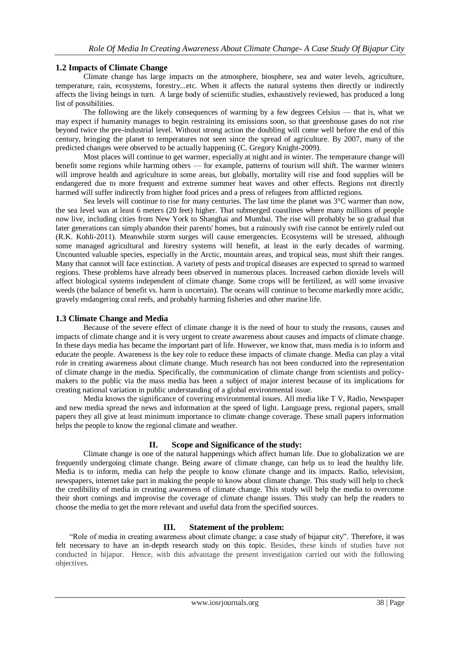# **1.2 Impacts of Climate Change**

 Climate change has large impacts on the atmosphere, biosphere, sea and water levels, agriculture, temperature, rain, ecosystems, forestry...etc. When it affects the natural systems then directly or indirectly affects the living beings in turn. A large body of scientific studies, exhaustively reviewed, has produced a long list of possibilities.

The following are the likely consequences of warming by a few degrees Celsius — that is, what we may expect if humanity manages to begin restraining its emissions soon, so that greenhouse gases do not rise beyond twice the pre-industrial level. Without strong action the doubling will come well before the end of this century, bringing the planet to temperatures not seen since the spread of agriculture. By 2007, many of the predicted changes were observed to be actually happening (C. Gregory Knight-2009).

Most places will continue to get warmer, especially at night and in winter. The temperature change will benefit some regions while harming others — for example, patterns of tourism will shift. The warmer winters will improve health and agriculture in some areas, but globally, mortality will rise and food supplies will be endangered due to more frequent and extreme summer heat waves and other effects. Regions not directly harmed will suffer indirectly from higher food prices and a press of refugees from afflicted regions.

Sea levels will continue to rise for many centuries. The last time the planet was  $3^{\circ}$ C warmer than now, the sea level was at least 6 meters (20 feet) higher. That submerged coastlines where many millions of people now live, including cities from New York to Shanghai and Mumbai. The rise will probably be so gradual that later generations can simply abandon their parents' homes, but a ruinously swift rise cannot be entirely ruled out (R.K. Kohli-2011). Meanwhile storm surges will cause emergencies. Ecosystems will be stressed, although some managed agricultural and forestry systems will benefit, at least in the early decades of warming. Uncounted valuable species, especially in the Arctic, mountain areas, and tropical seas, must shift their ranges. Many that cannot will face extinction. A variety of pests and tropical diseases are expected to spread to warmed regions. These problems have already been observed in numerous places. Increased carbon dioxide levels will affect biological systems independent of climate change. Some crops will be fertilized, as will some invasive weeds (the balance of benefit vs. harm is uncertain). The oceans will continue to become markedly more acidic, gravely endangering coral reefs, and probably harming fisheries and other marine life.

# **1.3 Climate Change and Media**

Because of the severe effect of climate change it is the need of hour to study the reasons, causes and impacts of climate change and it is very urgent to create awareness about causes and impacts of climate change. In these days media has became the important part of life. However, we know that, mass media is to inform and educate the people. Awareness is the key role to reduce these impacts of climate change. Media can play a vital role in creating awareness about climate change. Much research has not been conducted into the representation of climate change in the media. Specifically, the communication of climate change from scientists and policymakers to the public via the mass media has been a subject of major interest because of its implications for creating national variation in public understanding of a global environmental issue.

Media knows the significance of covering environmental issues. All media like T V, Radio, Newspaper and new media spread the news and information at the speed of light. Language press, regional papers, small papers they all give at least minimum importance to climate change coverage. These small papers information helps the people to know the regional climate and weather.

## **II. Scope and Significance of the study:**

Climate change is one of the natural happenings which affect human life. Due to globalization we are frequently undergoing climate change. Being aware of climate change, can help us to lead the healthy life. Media is to inform, media can help the people to know climate change and its impacts. Radio, television, newspapers, internet take part in making the people to know about climate change. This study will help to check the credibility of media in creating awareness of climate change. This study will help the media to overcome their short comings and improvise the coverage of climate change issues. This study can help the readers to choose the media to get the more relevant and useful data from the specified sources.

# **III. Statement of the problem:**

"Role of media in creating awareness about climate change; a case study of bijapur city". Therefore, it was felt necessary to have an in-depth research study on this topic. Besides, these kinds of studies have not conducted in bijapur. Hence, with this advantage the present investigation carried out with the following objectives.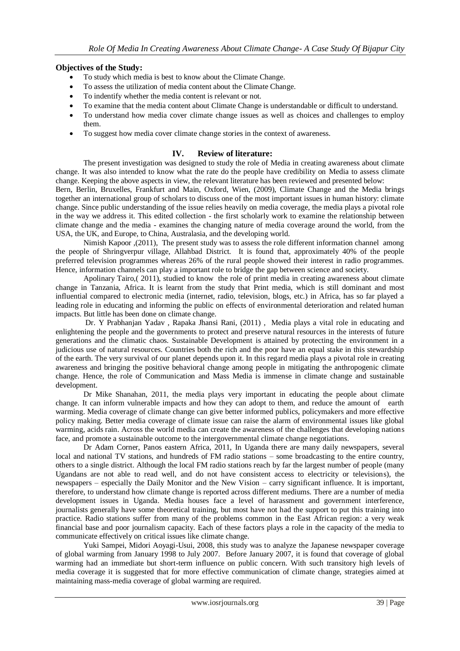# **Objectives of the Study:**

- To study which media is best to know about the Climate Change.
- To assess the utilization of media content about the Climate Change.
- To indentify whether the media content is relevant or not.
- To examine that the media content about Climate Change is understandable or difficult to understand.
- To understand how media cover climate change issues as well as choices and challenges to employ them.
- To suggest how media cover climate change stories in the context of awareness.

# **IV. Review of literature:**

The present investigation was designed to study the role of Media in creating awareness about climate change. It was also intended to know what the rate do the people have credibility on Media to assess climate change. Keeping the above aspects in view, the relevant literature has been reviewed and presented below:

Bern, Berlin, Bruxelles, Frankfurt and Main, Oxford, Wien, (2009), Climate Change and the Media brings together an international group of scholars to discuss one of the most important issues in human history: climate change. Since public understanding of the issue relies heavily on media coverage, the media plays a pivotal role in the way we address it. This edited collection - the first scholarly work to examine the relationship between climate change and the media - examines the changing nature of media coverage around the world, from the USA, the UK, and Europe, to China, Australasia, and the developing world.

Nimish Kapoor ,(2011), The present study was to assess the role different information channel among the people of Shringverpur village, Allahbad District. It is found that, approximately 40% of the people preferred television programmes whereas 26% of the rural people showed their interest in radio programmes. Hence, information channels can play a important role to bridge the gap between science and society.

Apolinary Tairo,( 2011), studied to know the role of print media in creating awareness about climate change in Tanzania, Africa. It is learnt from the study that Print media, which is still dominant and most influential compared to electronic media (internet, radio, television, blogs, etc.) in Africa, has so far played a leading role in educating and informing the public on effects of environmental deterioration and related human impacts. But little has been done on climate change.

Dr. Y Prabhanjan Yadav , Rapaka Jhansi Rani, (2011) , Media plays a vital role in educating and enlightening the people and the governments to protect and preserve natural resources in the interests of future generations and the climatic chaos. Sustainable Development is attained by protecting the environment in a judicious use of natural resources. Countries both the rich and the poor have an equal stake in this stewardship of the earth. The very survival of our planet depends upon it. In this regard media plays a pivotal role in creating awareness and bringing the positive behavioral change among people in mitigating the anthropogenic climate change. Hence, the role of Communication and Mass Media is immense in climate change and sustainable development.

Dr Mike Shanahan, 2011, the media plays very important in educating the people about climate change. It can inform vulnerable impacts and how they can adopt to them, and reduce the amount of earth warming. Media coverage of climate change can give better informed publics, policymakers and more effective policy making. Better media coverage of climate issue can raise the alarm of environmental issues like global warming, acids rain. Across the world media can create the awareness of the challenges that developing nations face, and promote a sustainable outcome to the intergovernmental climate change negotiations.

Dr Adam Corner, Panos eastern Africa, 2011, In Uganda there are many daily newspapers, several local and national TV stations, and hundreds of FM radio stations – some broadcasting to the entire country, others to a single district. Although the local FM radio stations reach by far the largest number of people (many Ugandans are not able to read well, and do not have consistent access to electricity or televisions), the newspapers – especially the Daily Monitor and the New Vision – carry significant influence. It is important, therefore, to understand how climate change is reported across different mediums. There are a number of media development issues in Uganda. Media houses face a level of harassment and government interference, journalists generally have some theoretical training, but most have not had the support to put this training into practice. Radio stations suffer from many of the problems common in the East African region: a very weak financial base and poor journalism capacity. Each of these factors plays a role in the capacity of the media to communicate effectively on critical issues like climate change.

Yuki Sampei, Midori Aoyagi-Usui, 2008, this study was to analyze the Japanese newspaper coverage of global warming from January 1998 to July 2007. Before January 2007, it is found that coverage of global warming had an immediate but short-term influence on public concern. With such transitory high levels of media coverage it is suggested that for more effective communication of climate change, strategies aimed at maintaining mass-media coverage of global warming are required.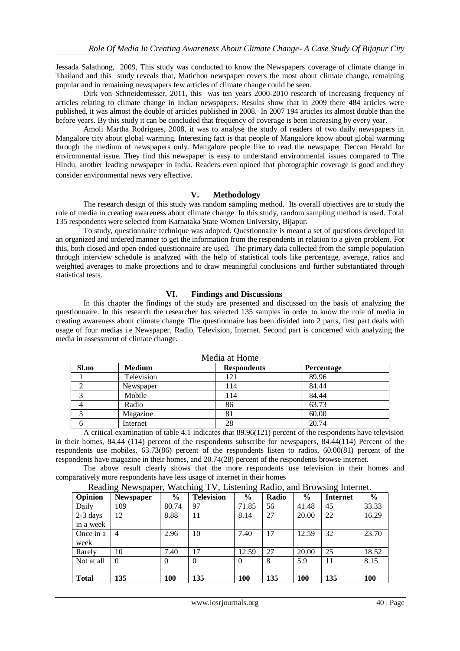Jessada Salathong, 2009, This study was conducted to know the Newspapers coverage of climate change in Thailand and this study reveals that, Matichon newspaper covers the most about climate change, remaining popular and in remaining newspapers few articles of climate change could be seen.

Dirk von Schneidemesser, 2011, this was ten years 2000-2010 research of increasing frequency of articles relating to climate change in Indian newspapers. Results show that in 2009 there 484 articles were published, it was almost the double of articles published in 2008. In 2007 194 articles its almost double than the before years. By this study it can be concluded that frequency of coverage is been increasing by every year.

Amoli Martha Rodrigues, 2008, it was to analyse the study of readers of two daily newspapers in Mangalore city about global warming. Interesting fact is that people of Mangalore know about global warming through the medium of newspapers only. Mangalore people like to read the newspaper Deccan Herald for environmental issue. They find this newspaper is easy to understand environmental issues compared to The Hindu, another leading newspaper in India. Readers even opined that photographic coverage is good and they consider environmental news very effective.

#### **V. Methodology**

The research design of this study was random sampling method. Its overall objectives are to study the role of media in creating awareness about climate change. In this study, random sampling method is used. Total 135 respondents were selected from Karnataka State Women University, Bijapur.

To study, questionnaire technique was adopted. Questionnaire is meant a set of questions developed in an organized and ordered manner to get the information from the respondents in relation to a given problem. For this, both closed and open ended questionnaire are used. The primary data collected from the sample population through interview schedule is analyzed with the help of statistical tools like percentage, average, ratios and weighted averages to make projections and to draw meaningful conclusions and further substantiated through statistical tests.

#### **VI. Findings and Discussions**

In this chapter the findings of the study are presented and discussed on the basis of analyzing the questionnaire. In this research the researcher has selected 135 samples in order to know the role of media in creating awareness about climate change. The questionnaire has been divided into 2 parts, first part deals with usage of four medias i.e Newspaper, Radio, Television, Internet. Second part is concerned with analyzing the media in assessment of climate change.

| $1120$ and $0.001$ |               |                    |                   |  |  |  |  |  |
|--------------------|---------------|--------------------|-------------------|--|--|--|--|--|
| Sl.no              | <b>Medium</b> | <b>Respondents</b> | <b>Percentage</b> |  |  |  |  |  |
|                    | Television    | 21                 | 89.96             |  |  |  |  |  |
|                    | Newspaper     | l 14               | 84.44             |  |  |  |  |  |
|                    | Mobile        | ! 14               | 84.44             |  |  |  |  |  |
|                    | Radio         | 86                 | 63.73             |  |  |  |  |  |
|                    | Magazine      | 81                 | 60.00             |  |  |  |  |  |
| n                  | Internet      | 28                 | 20.74             |  |  |  |  |  |

Media at Home

A critical examination of table 4.1 indicates that 89.96(121) percent of the respondents have television in their homes, 84.44 (114) percent of the respondents subscribe for newspapers, 84.44(114) Percent of the respondents use mobiles, 63.73(86) percent of the respondents listen to radios, 60.00(81) percent of the respondents have magazine in their homes, and 20.74(28) percent of the respondents browse internet.

The above result clearly shows that the more respondents use television in their homes and comparatively more respondents have less usage of internet in their homes

|  | Reading Newspaper, Watching TV, Listening Radio, and Browsing Internet. |
|--|-------------------------------------------------------------------------|
|  |                                                                         |

| Opinion      | <b>Newspaper</b> | $\frac{6}{9}$ | <b>Television</b> | $\frac{0}{0}$ | Radio | $\frac{6}{6}$ | ັ<br><b>Internet</b> | $\frac{0}{0}$ |
|--------------|------------------|---------------|-------------------|---------------|-------|---------------|----------------------|---------------|
| Daily        | 109              | 80.74         | 97                | 71.85         | 56    | 41.48         | 45                   | 33.33         |
| $2-3$ days   | 12               | 8.88          | 11                | 8.14          | 27    | 20.00         | 22                   | 16.29         |
| in a week    |                  |               |                   |               |       |               |                      |               |
| Once in a    | $\overline{4}$   | 2.96          | 10                | 7.40          | 17    | 12.59         | 32                   | 23.70         |
| week         |                  |               |                   |               |       |               |                      |               |
| Rarely       | 10               | 7.40          | 17                | 12.59         | 27    | 20.00         | 25                   | 18.52         |
| Not at all   | $\Omega$         | $\Omega$      | $\Omega$          | $\theta$      | 8     | 5.9           | 11                   | 8.15          |
|              |                  |               |                   |               |       |               |                      |               |
| <b>Total</b> | 135              | 100           | 135               | <b>100</b>    | 135   | 100           | 135                  | 100           |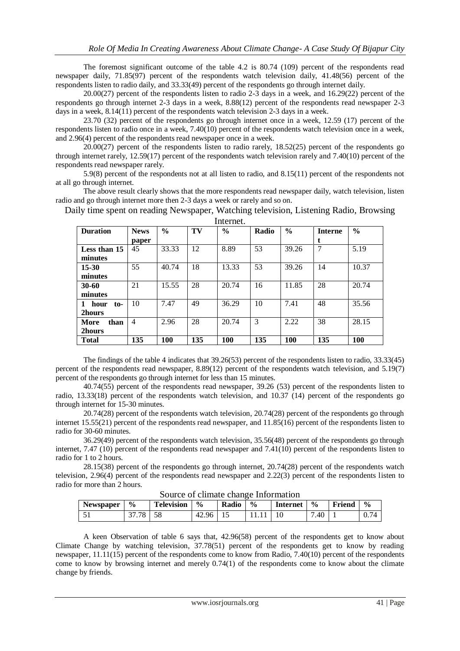The foremost significant outcome of the table 4.2 is 80.74 (109) percent of the respondents read newspaper daily, 71.85(97) percent of the respondents watch television daily, 41.48(56) percent of the respondents listen to radio daily, and 33.33(49) percent of the respondents go through internet daily.

20.00(27) percent of the respondents listen to radio 2-3 days in a week, and 16.29(22) percent of the respondents go through internet 2-3 days in a week, 8.88(12) percent of the respondents read newspaper 2-3 days in a week, 8.14(11) percent of the respondents watch television 2-3 days in a week.

23.70 (32) percent of the respondents go through internet once in a week, 12.59 (17) percent of the respondents listen to radio once in a week, 7.40(10) percent of the respondents watch television once in a week, and 2.96(4) percent of the respondents read newspaper once in a week.

20.00(27) percent of the respondents listen to radio rarely, 18.52(25) percent of the respondents go through internet rarely, 12.59(17) percent of the respondents watch television rarely and 7.40(10) percent of the respondents read newspaper rarely.

5.9(8) percent of the respondents not at all listen to radio, and 8.15(11) percent of the respondents not at all go through internet.

The above result clearly shows that the more respondents read newspaper daily, watch television, listen radio and go through internet more then 2-3 days a week or rarely and so on.

| <b>Duration</b>  | <b>News</b>    | $\frac{0}{0}$ | TV  | $\frac{0}{0}$ | Radio | $\frac{6}{6}$ | <b>Interne</b> | $\frac{0}{0}$ |
|------------------|----------------|---------------|-----|---------------|-------|---------------|----------------|---------------|
|                  | paper          |               |     |               |       |               |                |               |
| Less than 15     | 45             | 33.33         | 12  | 8.89          | 53    | 39.26         | 7              | 5.19          |
| minutes          |                |               |     |               |       |               |                |               |
| $15 - 30$        | 55             | 40.74         | 18  | 13.33         | 53    | 39.26         | 14             | 10.37         |
| minutes          |                |               |     |               |       |               |                |               |
| $30 - 60$        | 21             | 15.55         | 28  | 20.74         | 16    | 11.85         | 28             | 20.74         |
| minutes          |                |               |     |               |       |               |                |               |
| 1<br>hour<br>to- | 10             | 7.47          | 49  | 36.29         | 10    | 7.41          | 48             | 35.56         |
| 2hours           |                |               |     |               |       |               |                |               |
| More<br>than     | $\overline{4}$ | 2.96          | 28  | 20.74         | 3     | 2.22          | 38             | 28.15         |
| 2hours           |                |               |     |               |       |               |                |               |
| <b>Total</b>     | 135            | 100           | 135 | <b>100</b>    | 135   | 100           | 135            | 100           |

Daily time spent on reading Newspaper, Watching television, Listening Radio, Browsing **Internet** 

The findings of the table 4 indicates that 39.26(53) percent of the respondents listen to radio, 33.33(45) percent of the respondents read newspaper, 8.89(12) percent of the respondents watch television, and 5.19(7) percent of the respondents go through internet for less than 15 minutes.

40.74(55) percent of the respondents read newspaper, 39.26 (53) percent of the respondents listen to radio, 13.33(18) percent of the respondents watch television, and 10.37 (14) percent of the respondents go through internet for 15-30 minutes.

20.74(28) percent of the respondents watch television, 20.74(28) percent of the respondents go through internet 15.55(21) percent of the respondents read newspaper, and 11.85(16) percent of the respondents listen to radio for 30-60 minutes.

36.29(49) percent of the respondents watch television, 35.56(48) percent of the respondents go through internet, 7.47 (10) percent of the respondents read newspaper and 7.41(10) percent of the respondents listen to radio for 1 to 2 hours.

28.15(38) percent of the respondents go through internet, 20.74(28) percent of the respondents watch television, 2.96(4) percent of the respondents read newspaper and 2.22(3) percent of the respondents listen to radio for more than 2 hours.

| bource of chimate change information |                 |            |               |       |               |                 |               |        |               |  |
|--------------------------------------|-----------------|------------|---------------|-------|---------------|-----------------|---------------|--------|---------------|--|
| <b>Newspaper</b>                     | $\frac{0}{0}$   | Television | $\frac{0}{0}$ | Radio | $\frac{0}{0}$ | <b>Internet</b> | $\frac{6}{6}$ | Friend | $\frac{0}{0}$ |  |
|                                      | $\gamma$ $\tau$ |            | 42.96         |       |               |                 | '.40          |        | 0.74          |  |

Source of climate change Information

A keen Observation of table 6 says that, 42.96(58) percent of the respondents get to know about Climate Change by watching television, 37.78(51) percent of the respondents get to know by reading newspaper, 11.11(15) percent of the respondents come to know from Radio, 7.40(10) percent of the respondents come to know by browsing internet and merely 0.74(1) of the respondents come to know about the climate change by friends.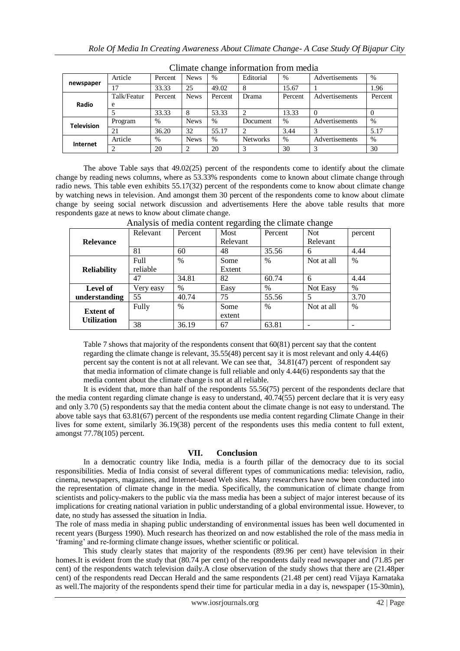| Chinate change information from meana |             |         |             |               |                 |         |                |         |  |
|---------------------------------------|-------------|---------|-------------|---------------|-----------------|---------|----------------|---------|--|
| newspaper                             | Article     | Percent | <b>News</b> | $\frac{0}{0}$ | Editorial       | $\%$    | Advertisements | $\%$    |  |
|                                       |             | 33.33   | 25          | 49.02         | 8               | 15.67   |                | 1.96    |  |
|                                       | Talk/Featur | Percent | <b>News</b> | Percent       | Drama           | Percent | Advertisements | Percent |  |
| Radio                                 | e           |         |             |               |                 |         |                |         |  |
|                                       |             | 33.33   | 8           | 53.33         |                 | 13.33   |                |         |  |
| <b>Television</b>                     | Program     | %       | <b>News</b> | $\%$          | Document        | $\%$    | Advertisements | $\%$    |  |
|                                       | 21          | 36.20   | 32          | 55.17         |                 | 3.44    |                | 5.17    |  |
| Internet                              | Article     | %       | <b>News</b> | $\%$          | <b>Networks</b> | $\%$    | Advertisements | $\%$    |  |
|                                       |             | 20      |             | 20            |                 | 30      |                | 30      |  |

Climate change information from media

The above Table says that 49.02(25) percent of the respondents come to identify about the climate change by reading news columns, where as 53.33% respondents come to known about climate change through radio news. This table even exhibits 55.17(32) percent of the respondents come to know about climate change by watching news in television. And amongst them 30 percent of the respondents come to know about climate change by seeing social network discussion and advertisements Here the above table results that more respondents gaze at news to know about climate change.

|                    |           |               | - 67     |               | C          |               |
|--------------------|-----------|---------------|----------|---------------|------------|---------------|
|                    | Relevant  | Percent       | Most     | Percent       | <b>Not</b> | percent       |
| <b>Relevance</b>   |           |               | Relevant |               | Relevant   |               |
|                    | 81        | 60            | 48       | 35.56         | 6          | 4.44          |
|                    | Full      | $\frac{0}{0}$ | Some     | $\%$          | Not at all | $\%$          |
| <b>Reliability</b> | reliable  |               | Extent   |               |            |               |
|                    | 47        | 34.81         | 82       | 60.74         | 6          | 4.44          |
| <b>Level of</b>    | Very easy | $\%$          | Easy     | %             | Not Easy   | $\%$          |
| understanding      | 55        | 40.74         | 75       | 55.56         | 5          | 3.70          |
| <b>Extent of</b>   | Fully     | $\frac{0}{0}$ | Some     | $\frac{0}{0}$ | Not at all | $\frac{0}{0}$ |
| <b>Utilization</b> |           |               | extent   |               |            |               |
|                    | 38        | 36.19         | 67       | 63.81         |            |               |

Analysis of media content regarding the climate change

Table 7 shows that majority of the respondents consent that 60(81) percent say that the content regarding the climate change is relevant, 35.55(48) percent say it is most relevant and only 4.44(6) percent say the content is not at all relevant. We can see that, 34.81(47) percent of respondent say that media information of climate change is full reliable and only 4.44(6) respondents say that the media content about the climate change is not at all reliable.

It is evident that, more than half of the respondents 55.56(75) percent of the respondents declare that the media content regarding climate change is easy to understand, 40.74(55) percent declare that it is very easy and only 3.70 (5) respondents say that the media content about the climate change is not easy to understand. The above table says that 63.81(67) percent of the respondents use media content regarding Climate Change in their lives for some extent, similarly 36.19(38) percent of the respondents uses this media content to full extent, amongst 77.78(105) percent.

## **VII. Conclusion**

In a democratic country like India, media is a fourth pillar of the democracy due to its social responsibilities. Media of India consist of several different types of communications media: television, radio, cinema, newspapers, magazines, and Internet-based Web sites. Many researchers have now been conducted into the representation of climate change in the media. Specifically, the communication of climate change from scientists and policy-makers to the public via the mass media has been a subject of major interest because of its implications for creating national variation in public understanding of a global environmental issue. However, to date, no study has assessed the situation in India.

The role of mass media in shaping public understanding of environmental issues has been well documented in recent years (Burgess 1990). Much research has theorized on and now established the role of the mass media in ‗framing' and re-forming climate change issues, whether scientific or political.

This study clearly states that majority of the respondents (89.96 per cent) have television in their homes.It is evident from the study that (80.74 per cent) of the respondents daily read newspaper and (71.85 per cent) of the respondents watch television daily.A close observation of the study shows that there are (21.48per cent) of the respondents read Deccan Herald and the same respondents (21.48 per cent) read Vijaya Karnataka as well.The majority of the respondents spend their time for particular media in a day is, newspaper (15-30min),